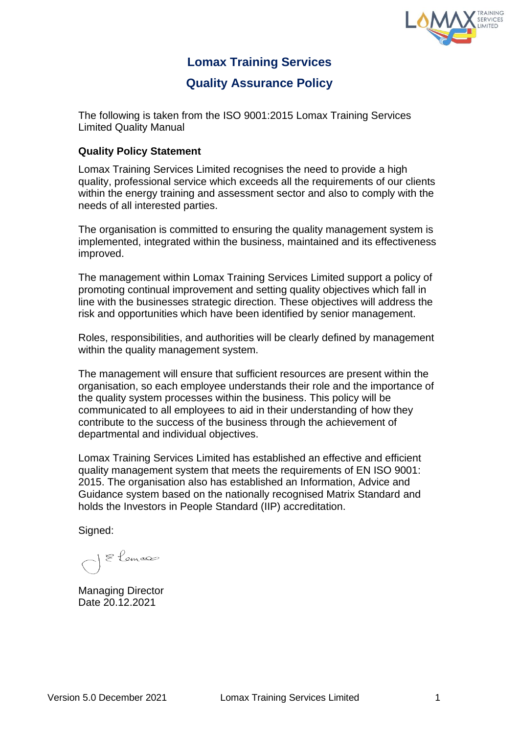

## **Lomax Training Services**

## **Quality Assurance Policy**

The following is taken from the ISO 9001:2015 Lomax Training Services Limited Quality Manual

## **Quality Policy Statement**

Lomax Training Services Limited recognises the need to provide a high quality, professional service which exceeds all the requirements of our clients within the energy training and assessment sector and also to comply with the needs of all interested parties.

The organisation is committed to ensuring the quality management system is implemented, integrated within the business, maintained and its effectiveness improved.

The management within Lomax Training Services Limited support a policy of promoting continual improvement and setting quality objectives which fall in line with the businesses strategic direction. These objectives will address the risk and opportunities which have been identified by senior management.

Roles, responsibilities, and authorities will be clearly defined by management within the quality management system.

The management will ensure that sufficient resources are present within the organisation, so each employee understands their role and the importance of the quality system processes within the business. This policy will be communicated to all employees to aid in their understanding of how they contribute to the success of the business through the achievement of departmental and individual objectives.

Lomax Training Services Limited has established an effective and efficient quality management system that meets the requirements of EN ISO 9001: 2015. The organisation also has established an Information, Advice and Guidance system based on the nationally recognised Matrix Standard and holds the Investors in People Standard (IIP) accreditation.

Signed:

1 & Lemas

Managing Director Date 20.12.2021